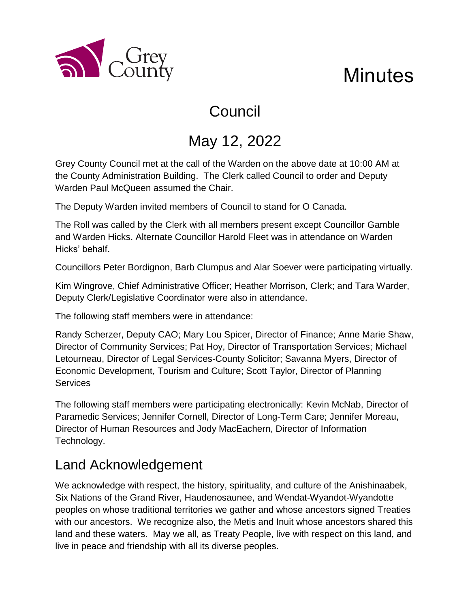

# **Minutes**

# Council

## May 12, 2022

Grey County Council met at the call of the Warden on the above date at 10:00 AM at the County Administration Building. The Clerk called Council to order and Deputy Warden Paul McQueen assumed the Chair.

The Deputy Warden invited members of Council to stand for O Canada.

The Roll was called by the Clerk with all members present except Councillor Gamble and Warden Hicks. Alternate Councillor Harold Fleet was in attendance on Warden Hicks' behalf.

Councillors Peter Bordignon, Barb Clumpus and Alar Soever were participating virtually.

Kim Wingrove, Chief Administrative Officer; Heather Morrison, Clerk; and Tara Warder, Deputy Clerk/Legislative Coordinator were also in attendance.

The following staff members were in attendance:

Randy Scherzer, Deputy CAO; Mary Lou Spicer, Director of Finance; Anne Marie Shaw, Director of Community Services; Pat Hoy, Director of Transportation Services; Michael Letourneau, Director of Legal Services-County Solicitor; Savanna Myers, Director of Economic Development, Tourism and Culture; Scott Taylor, Director of Planning **Services** 

The following staff members were participating electronically: Kevin McNab, Director of Paramedic Services; Jennifer Cornell, Director of Long-Term Care; Jennifer Moreau, Director of Human Resources and Jody MacEachern, Director of Information Technology.

### Land Acknowledgement

We acknowledge with respect, the history, spirituality, and culture of the Anishinaabek, Six Nations of the Grand River, Haudenosaunee, and Wendat-Wyandot-Wyandotte peoples on whose traditional territories we gather and whose ancestors signed Treaties with our ancestors. We recognize also, the Metis and Inuit whose ancestors shared this land and these waters. May we all, as Treaty People, live with respect on this land, and live in peace and friendship with all its diverse peoples.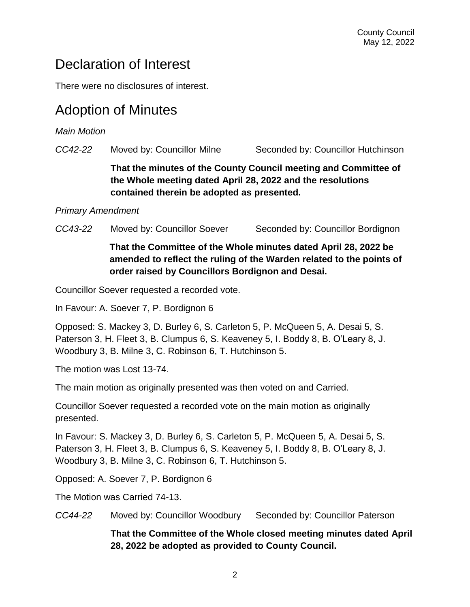### Declaration of Interest

There were no disclosures of interest.

### Adoption of Minutes

*Main Motion* 

*CC42-22* Moved by: Councillor Milne Seconded by: Councillor Hutchinson **That the minutes of the County Council meeting and Committee of the Whole meeting dated April 28, 2022 and the resolutions contained therein be adopted as presented.**

#### *Primary Amendment*

*CC43-22* Moved by: Councillor Soever Seconded by: Councillor Bordignon

#### **That the Committee of the Whole minutes dated April 28, 2022 be amended to reflect the ruling of the Warden related to the points of order raised by Councillors Bordignon and Desai.**

Councillor Soever requested a recorded vote.

In Favour: A. Soever 7, P. Bordignon 6

Opposed: S. Mackey 3, D. Burley 6, S. Carleton 5, P. McQueen 5, A. Desai 5, S. Paterson 3, H. Fleet 3, B. Clumpus 6, S. Keaveney 5, I. Boddy 8, B. O'Leary 8, J. Woodbury 3, B. Milne 3, C. Robinson 6, T. Hutchinson 5.

The motion was Lost 13-74.

The main motion as originally presented was then voted on and Carried.

Councillor Soever requested a recorded vote on the main motion as originally presented.

In Favour: S. Mackey 3, D. Burley 6, S. Carleton 5, P. McQueen 5, A. Desai 5, S. Paterson 3, H. Fleet 3, B. Clumpus 6, S. Keaveney 5, I. Boddy 8, B. O'Leary 8, J. Woodbury 3, B. Milne 3, C. Robinson 6, T. Hutchinson 5.

Opposed: A. Soever 7, P. Bordignon 6

The Motion was Carried 74-13.

*CC44-22* Moved by: Councillor Woodbury Seconded by: Councillor Paterson

**That the Committee of the Whole closed meeting minutes dated April 28, 2022 be adopted as provided to County Council.**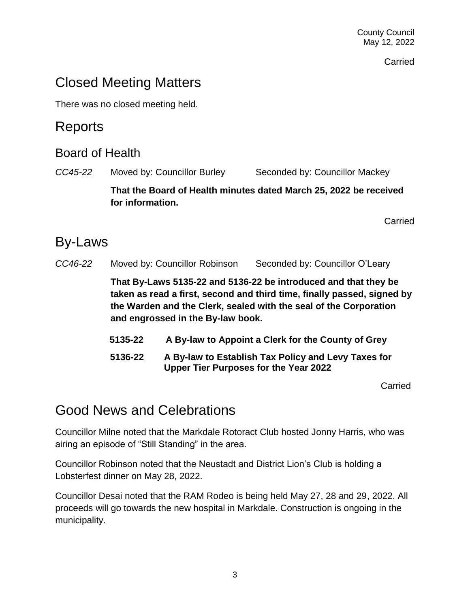County Council May 12, 2022

Carried

### Closed Meeting Matters

There was no closed meeting held.

### Reports

#### Board of Health

*CC45-22* Moved by: Councillor Burley Seconded by: Councillor Mackey

**That the Board of Health minutes dated March 25, 2022 be received for information.**

Carried

### By-Laws

*CC46-22* Moved by: Councillor Robinson Seconded by: Councillor O'Leary

**That By-Laws 5135-22 and 5136-22 be introduced and that they be taken as read a first, second and third time, finally passed, signed by the Warden and the Clerk, sealed with the seal of the Corporation and engrossed in the By-law book.**

- **5135-22 A By-law to Appoint a Clerk for the County of Grey**
- **5136-22 A By-law to Establish Tax Policy and Levy Taxes for Upper Tier Purposes for the Year 2022**

**Carried** 

### Good News and Celebrations

Councillor Milne noted that the Markdale Rotoract Club hosted Jonny Harris, who was airing an episode of "Still Standing" in the area.

Councillor Robinson noted that the Neustadt and District Lion's Club is holding a Lobsterfest dinner on May 28, 2022.

Councillor Desai noted that the RAM Rodeo is being held May 27, 28 and 29, 2022. All proceeds will go towards the new hospital in Markdale. Construction is ongoing in the municipality.